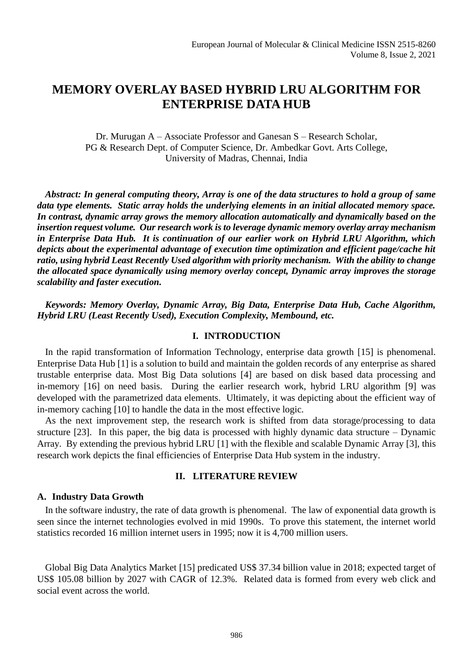# **MEMORY OVERLAY BASED HYBRID LRU ALGORITHM FOR ENTERPRISE DATA HUB**

Dr. Murugan A – Associate Professor and Ganesan S – Research Scholar, PG & Research Dept. of Computer Science, Dr. Ambedkar Govt. Arts College, University of Madras, Chennai, India

*Abstract: In general computing theory, Array is one of the data structures to hold a group of same data type elements. Static array holds the underlying elements in an initial allocated memory space. In contrast, dynamic array grows the memory allocation automatically and dynamically based on the insertion request volume. Our research work is to leverage dynamic memory overlay array mechanism in Enterprise Data Hub. It is continuation of our earlier work on Hybrid LRU Algorithm, which depicts about the experimental advantage of execution time optimization and efficient page/cache hit ratio, using hybrid Least Recently Used algorithm with priority mechanism. With the ability to change the allocated space dynamically using memory overlay concept, Dynamic array improves the storage scalability and faster execution.*

*Keywords: Memory Overlay, Dynamic Array, Big Data, Enterprise Data Hub, Cache Algorithm, Hybrid LRU (Least Recently Used), Execution Complexity, Membound, etc.*

### **I. INTRODUCTION**

In the rapid transformation of Information Technology, enterprise data growth [15] is phenomenal. Enterprise Data Hub [1] is a solution to build and maintain the golden records of any enterprise as shared trustable enterprise data. Most Big Data solutions [4] are based on disk based data processing and in-memory [16] on need basis. During the earlier research work, hybrid LRU algorithm [9] was developed with the parametrized data elements. Ultimately, it was depicting about the efficient way of in-memory caching [10] to handle the data in the most effective logic.

As the next improvement step, the research work is shifted from data storage/processing to data structure [23]. In this paper, the big data is processed with highly dynamic data structure – Dynamic Array. By extending the previous hybrid LRU [1] with the flexible and scalable Dynamic Array [3], this research work depicts the final efficiencies of Enterprise Data Hub system in the industry.

### **II. LITERATURE REVIEW**

#### **A. Industry Data Growth**

In the software industry, the rate of data growth is phenomenal. The law of exponential data growth is seen since the internet technologies evolved in mid 1990s. To prove this statement, the internet world statistics recorded 16 million internet users in 1995; now it is 4,700 million users.

Global Big Data Analytics Market [15] predicated US\$ 37.34 billion value in 2018; expected target of US\$ 105.08 billion by 2027 with CAGR of 12.3%. Related data is formed from every web click and social event across the world.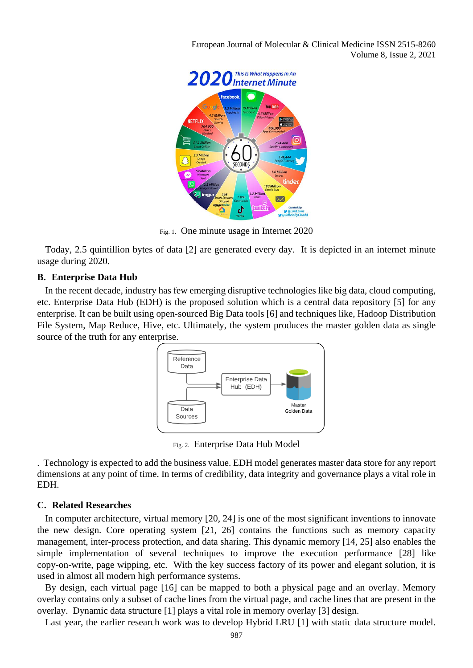European Journal of Molecular & Clinical Medicine ISSN 2515-8260 Volume 8, Issue 2, 2021



Fig. 1. One minute usage in Internet 2020

Today, 2.5 quintillion bytes of data [2] are generated every day. It is depicted in an internet minute usage during 2020.

### **B. Enterprise Data Hub**

In the recent decade, industry has few emerging disruptive technologies like big data, cloud computing, etc. Enterprise Data Hub (EDH) is the proposed solution which is a central data repository [5] for any enterprise. It can be built using open-sourced Big Data tools [6] and techniques like, Hadoop Distribution File System, Map Reduce, Hive, etc. Ultimately, the system produces the master golden data as single source of the truth for any enterprise.



Fig. 2. Enterprise Data Hub Model

. Technology is expected to add the business value. EDH model generates master data store for any report dimensions at any point of time. In terms of credibility, data integrity and governance plays a vital role in EDH.

### **C. Related Researches**

In computer architecture, virtual memory [20, 24] is one of the most significant inventions to innovate the new design. Core operating system [21, 26] contains the functions such as memory capacity management, inter-process protection, and data sharing. This dynamic memory [14, 25] also enables the simple implementation of several techniques to improve the execution performance [28] like copy-on-write, page wipping, etc. With the key success factory of its power and elegant solution, it is used in almost all modern high performance systems.

By design, each virtual page [16] can be mapped to both a physical page and an overlay. Memory overlay contains only a subset of cache lines from the virtual page, and cache lines that are present in the overlay. Dynamic data structure [1] plays a vital role in memory overlay [3] design.

Last year, the earlier research work was to develop Hybrid LRU [1] with static data structure model.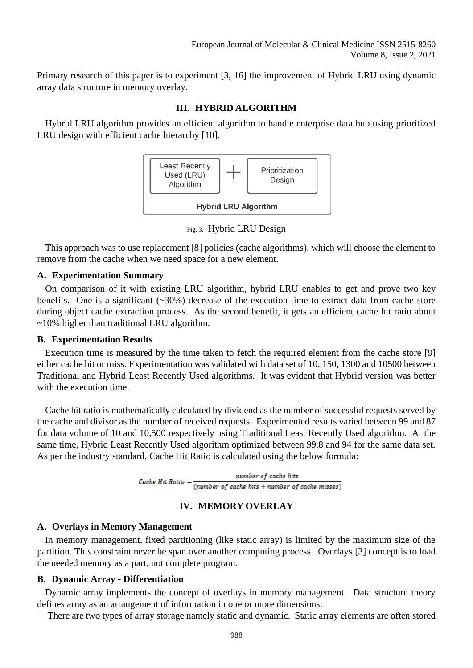Primary research of this paper is to experiment [3, 16] the improvement of Hybrid LRU using dynamic array data structure in memory overlay.

# **III. HYBRID ALGORITHM**

Hybrid LRU algorithm provides an efficient algorithm to handle enterprise data hub using prioritized LRU design with efficient cache hierarchy [10].



Fig. 3. Hybrid LRU Design

This approach was to use replacement [8] policies (cache algorithms), which will choose the element to remove from the cache when we need space for a new element.

### **A. Experimentation Summary**

On comparison of it with existing LRU algorithm, hybrid LRU enables to get and prove two key benefits. One is a significant  $(\sim 30\%)$  decrease of the execution time to extract data from cache store during object cache extraction process. As the second benefit, it gets an efficient cache hit ratio about ~10% higher than traditional LRU algorithm.

### **B. Experimentation Results**

Execution time is measured by the time taken to fetch the required element from the cache store [9] either cache hit or miss. Experimentation was validated with data set of 10, 150, 1300 and 10500 between Traditional and Hybrid Least Recently Used algorithms. It was evident that Hybrid version was better with the execution time.

Cache hit ratio is mathematically calculated by dividend as the number of successful requests served by the cache and divisor as the number of received requests. Experimented results varied between 99 and 87 for data volume of 10 and 10,500 respectively using Traditional Least Recently Used algorithm. At the same time, Hybrid Least Recently Used algorithm optimized between 99.8 and 94 for the same data set. As per the industry standard, Cache Hit Ratio is calculated using the below formula:

> number of cache hits Cache Hit Ratio =  $(number of cache hits + number of cache misses)$

# **IV. MEMORY OVERLAY**

# **A. Overlays in Memory Management**

In memory management, fixed partitioning (like static array) is limited by the maximum size of the partition. This constraint never be span over another computing process. Overlays [3] concept is to load the needed memory as a part, not complete program.

# **B. Dynamic Array - Differentiation**

Dynamic array implements the concept of overlays in memory management. Data structure theory defines array as an arrangement of information in one or more dimensions.

There are two types of array storage namely static and dynamic. Static array elements are often stored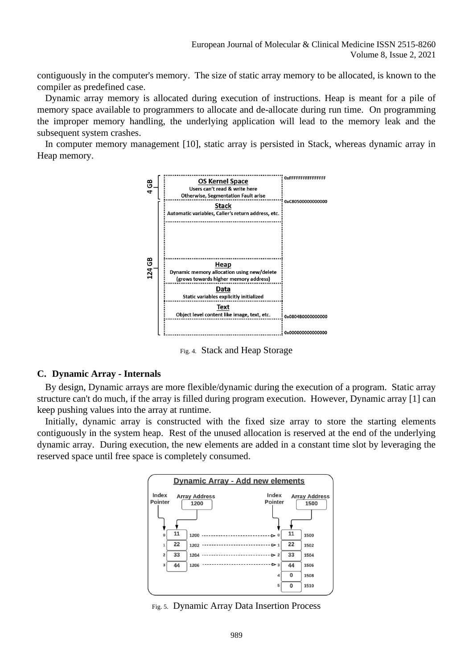contiguously in the computer's memory. The size of static array memory to be allocated, is known to the compiler as predefined case.

Dynamic array memory is allocated during execution of instructions. Heap is meant for a pile of memory space available to programmers to allocate and de-allocate during run time. On programming the improper memory handling, the underlying application will lead to the memory leak and the subsequent system crashes.

In computer memory management [10], static array is persisted in Stack, whereas dynamic array in Heap memory.



Fig. 4. Stack and Heap Storage

### **C. Dynamic Array - Internals**

By design, Dynamic arrays are more flexible/dynamic during the execution of a program. Static array structure can't do much, if the array is filled during program execution. However, Dynamic array [1] can keep pushing values into the array at runtime.

Initially, dynamic array is constructed with the fixed size array to store the starting elements contiguously in the system heap. Rest of the unused allocation is reserved at the end of the underlying dynamic array. During execution, the new elements are added in a constant time slot by leveraging the reserved space until free space is completely consumed.



Fig. 5. Dynamic Array Data Insertion Process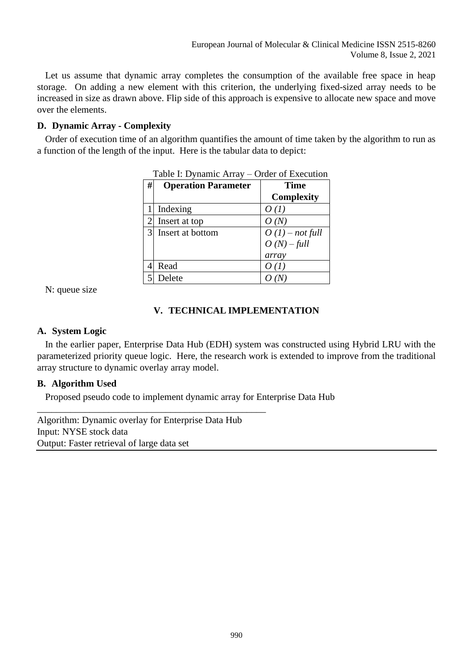Let us assume that dynamic array completes the consumption of the available free space in heap storage. On adding a new element with this criterion, the underlying fixed-sized array needs to be increased in size as drawn above. Flip side of this approach is expensive to allocate new space and move over the elements.

# **D. Dynamic Array - Complexity**

Order of execution time of an algorithm quantifies the amount of time taken by the algorithm to run as a function of the length of the input. Here is the tabular data to depict:

| #              | <b>Operation Parameter</b> | <b>Time</b>       |  |  |
|----------------|----------------------------|-------------------|--|--|
|                |                            | <b>Complexity</b> |  |  |
|                | Indexing                   | O(1)              |  |  |
| $\overline{2}$ | Insert at top              | O(N)              |  |  |
| 3              | Insert at bottom           | $O(1)$ – not full |  |  |
|                |                            | $O(N)$ – full     |  |  |
|                |                            | array             |  |  |
|                | Read                       | O(1)              |  |  |
|                | Delete                     |                   |  |  |

|  |  | Table I: Dynamic Array – Order of Execution |  |
|--|--|---------------------------------------------|--|
|  |  |                                             |  |

N: queue size

# **V. TECHNICAL IMPLEMENTATION**

# **A. System Logic**

In the earlier paper, Enterprise Data Hub (EDH) system was constructed using Hybrid LRU with the parameterized priority queue logic. Here, the research work is extended to improve from the traditional array structure to dynamic overlay array model.

# **B. Algorithm Used**

Proposed pseudo code to implement dynamic array for Enterprise Data Hub

Algorithm: Dynamic overlay for Enterprise Data Hub Input: NYSE stock data Output: Faster retrieval of large data set

\_\_\_\_\_\_\_\_\_\_\_\_\_\_\_\_\_\_\_\_\_\_\_\_\_\_\_\_\_\_\_\_\_\_\_\_\_\_\_\_\_\_\_\_\_\_\_\_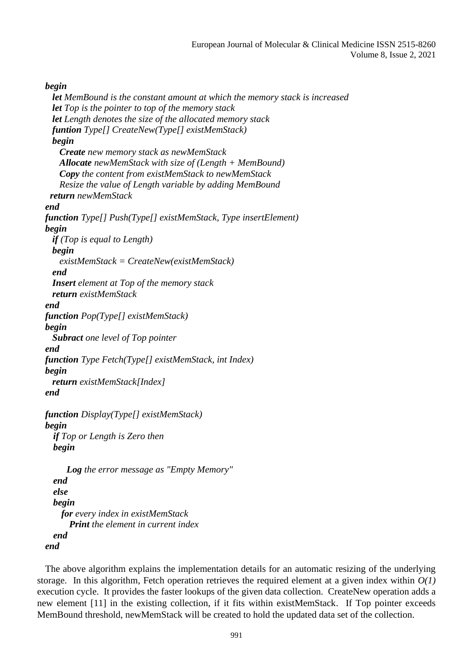# *begin*

```
 let MemBound is the constant amount at which the memory stack is increased
   let Top is the pointer to top of the memory stack
   let Length denotes the size of the allocated memory stack
  funtion Type[] CreateNew(Type[] existMemStack)
   begin
     Create new memory stack as newMemStack
    Allocate newMemStack with size of (Length + MemBound)
    Copy the content from existMemStack to newMemStack
     Resize the value of Length variable by adding MemBound
  return newMemStack
end
function Type[] Push(Type[] existMemStack, Type insertElement)
begin
   if (Top is equal to Length)
   begin
     existMemStack = CreateNew(existMemStack)
   end
   Insert element at Top of the memory stack
   return existMemStack
end
function Pop(Type[] existMemStack)
begin
   Subract one level of Top pointer
end
function Type Fetch(Type[] existMemStack, int Index)
begin
   return existMemStack[Index]
end
function Display(Type[] existMemStack)
begin
  if Top or Length is Zero then
  begin
      Log the error message as "Empty Memory"
  end
  else
```
*begin for every index in existMemStack Print the element in current index end*

*end* 

The above algorithm explains the implementation details for an automatic resizing of the underlying storage. In this algorithm, Fetch operation retrieves the required element at a given index within  $O(1)$ execution cycle. It provides the faster lookups of the given data collection. CreateNew operation adds a new element [11] in the existing collection, if it fits within existMemStack. If Top pointer exceeds MemBound threshold, newMemStack will be created to hold the updated data set of the collection.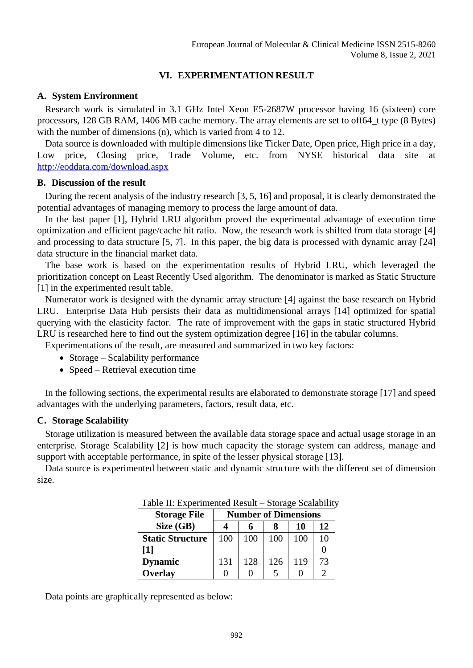# **VI. EXPERIMENTATION RESULT**

# **A. System Environment**

Research work is simulated in 3.1 GHz Intel Xeon E5-2687W processor having 16 (sixteen) core processors, 128 GB RAM, 1406 MB cache memory. The array elements are set to off64\_t type (8 Bytes) with the number of dimensions (n), which is varied from 4 to 12.

Data source is downloaded with multiple dimensions like Ticker Date, Open price, High price in a day, Low price, Closing price, Trade Volume, etc. from NYSE historical data site at <http://eoddata.com/download.aspx>

# **B. Discussion of the result**

During the recent analysis of the industry research [3, 5, 16] and proposal, it is clearly demonstrated the potential advantages of managing memory to process the large amount of data.

In the last paper [1], Hybrid LRU algorithm proved the experimental advantage of execution time optimization and efficient page/cache hit ratio. Now, the research work is shifted from data storage [4] and processing to data structure [5, 7]. In this paper, the big data is processed with dynamic array [24] data structure in the financial market data.

The base work is based on the experimentation results of Hybrid LRU, which leveraged the prioritization concept on Least Recently Used algorithm. The denominator is marked as Static Structure [1] in the experimented result table.

Numerator work is designed with the dynamic array structure [4] against the base research on Hybrid LRU. Enterprise Data Hub persists their data as multidimensional arrays [14] optimized for spatial querying with the elasticity factor. The rate of improvement with the gaps in static structured Hybrid LRU is researched here to find out the system optimization degree [16] in the tabular columns.

Experimentations of the result, are measured and summarized in two key factors:

- Storage Scalability performance
- Speed Retrieval execution time

In the following sections, the experimental results are elaborated to demonstrate storage [17] and speed advantages with the underlying parameters, factors, result data, etc.

# **C. Storage Scalability**

Storage utilization is measured between the available data storage space and actual usage storage in an enterprise. Storage Scalability [2] is how much capacity the storage system can address, manage and support with acceptable performance, in spite of the lesser physical storage [13].

Data source is experimented between static and dynamic structure with the different set of dimension size.

| <b>Storage File</b>     | <b>Number of Dimensions</b> |     |     |     |    |
|-------------------------|-----------------------------|-----|-----|-----|----|
| Size (GB)               |                             |     |     | 10  | 12 |
| <b>Static Structure</b> | 100                         | 100 | 100 | 100 | 10 |
| [1]                     |                             |     |     |     |    |
| <b>Dynamic</b>          | 131                         | 128 | 126 | 119 | 73 |
| Overlay                 |                             |     |     |     |    |

Table II: Experimented Result – Storage Scalability

Data points are graphically represented as below: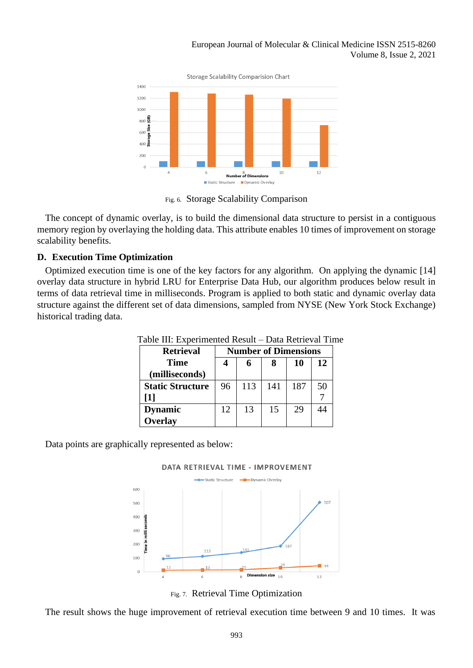

Fig. 6. Storage Scalability Comparison

The concept of dynamic overlay, is to build the dimensional data structure to persist in a contiguous memory region by overlaying the holding data. This attribute enables 10 times of improvement on storage scalability benefits.

# **D. Execution Time Optimization**

Optimized execution time is one of the key factors for any algorithm. On applying the dynamic [14] overlay data structure in hybrid LRU for Enterprise Data Hub, our algorithm produces below result in terms of data retrieval time in milliseconds. Program is applied to both static and dynamic overlay data structure against the different set of data dimensions, sampled from NYSE (New York Stock Exchange) historical trading data.

| <b>Retrieval</b>        | <b>Number of Dimensions</b> |     |     |     |    |
|-------------------------|-----------------------------|-----|-----|-----|----|
| <b>Time</b>             |                             |     |     | 10  | 12 |
| (milliseconds)          |                             |     |     |     |    |
| <b>Static Structure</b> | 96                          | 113 | 141 | 187 | 50 |
| [1]                     |                             |     |     |     |    |
| <b>Dynamic</b>          | 12                          | 13  | 15  | 29  | 44 |
| <b>Overlay</b>          |                             |     |     |     |    |

Table III: Experimented Result – Data Retrieval Time

Data points are graphically represented as below:



Fig. 7. Retrieval Time Optimization

The result shows the huge improvement of retrieval execution time between 9 and 10 times. It was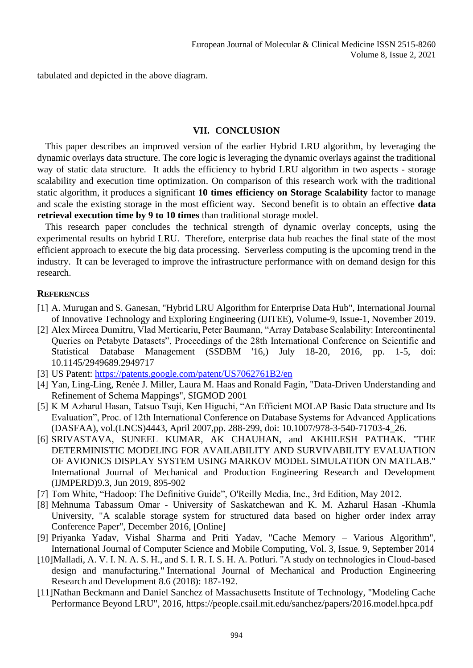tabulated and depicted in the above diagram.

# **VII. CONCLUSION**

This paper describes an improved version of the earlier Hybrid LRU algorithm, by leveraging the dynamic overlays data structure. The core logic is leveraging the dynamic overlays against the traditional way of static data structure. It adds the efficiency to hybrid LRU algorithm in two aspects - storage scalability and execution time optimization. On comparison of this research work with the traditional static algorithm, it produces a significant **10 times efficiency on Storage Scalability** factor to manage and scale the existing storage in the most efficient way. Second benefit is to obtain an effective **data retrieval execution time by 9 to 10 times** than traditional storage model.

This research paper concludes the technical strength of dynamic overlay concepts, using the experimental results on hybrid LRU. Therefore, enterprise data hub reaches the final state of the most efficient approach to execute the big data processing. Serverless computing is the upcoming trend in the industry. It can be leveraged to improve the infrastructure performance with on demand design for this research.

### **REFERENCES**

- [1] A. Murugan and S. Ganesan, "Hybrid LRU Algorithm for Enterprise Data Hub", International Journal of Innovative Technology and Exploring Engineering (IJITEE), Volume-9, Issue-1, November 2019.
- [2] Alex Mircea Dumitru, Vlad Merticariu, Peter Baumann, "Array Database Scalability: Intercontinental Queries on Petabyte Datasets", Proceedings of the 28th International Conference on Scientific and Statistical Database Management (SSDBM '16,) July 18-20, 2016, pp. 1-5, doi: 10.1145/2949689.2949717
- [3] US Patent:<https://patents.google.com/patent/US7062761B2/en>
- [4] Yan, Ling-Ling, Renée J. Miller, Laura M. Haas and Ronald Fagin, "Data-Driven Understanding and Refinement of Schema Mappings", SIGMOD 2001
- [5] K M Azharul Hasan, Tatsuo Tsuji, Ken Higuchi, "An Efficient MOLAP Basic Data structure and Its Evaluation", Proc. of 12th International Conference on Database Systems for Advanced Applications (DASFAA), vol.(LNCS)4443, April 2007,pp. 288-299, doi: 10.1007/978-3-540-71703-4\_26.
- [6] SRIVASTAVA, SUNEEL KUMAR, AK CHAUHAN, and AKHILESH PATHAK. "THE DETERMINISTIC MODELING FOR AVAILABILITY AND SURVIVABILITY EVALUATION OF AVIONICS DISPLAY SYSTEM USING MARKOV MODEL SIMULATION ON MATLAB." International Journal of Mechanical and Production Engineering Research and Development (IJMPERD)9.3, Jun 2019, 895-902
- [7] Tom White, "Hadoop: The Definitive Guide", O'Reilly Media, Inc., 3rd Edition, May 2012.
- [8] Mehnuma Tabassum Omar University of Saskatchewan and K. M. Azharul Hasan -Khumla University, "A scalable storage system for structured data based on higher order index array Conference Paper", December 2016, [\[Online\]](https://www.researchgate.net/publication/311317337_A_scalable_storage_system_for_structured_data_based_on_higher_order_index_array)
- [9] Priyanka Yadav, Vishal Sharma and Priti Yadav, "Cache Memory Various Algorithm", International Journal of Computer Science and Mobile Computing, Vol. 3, Issue. 9, September 2014
- [10]Malladi, A. V. I. N. A. S. H., and S. I. R. I. S. H. A. Potluri. "A study on technologies in Cloud-based design and manufacturing." International Journal of Mechanical and Production Engineering Research and Development 8.6 (2018): 187-192.
- [11]Nathan Beckmann and Daniel Sanchez of Massachusetts Institute of Technology, "Modeling Cache Performance Beyond LRU", 2016,<https://people.csail.mit.edu/sanchez/papers/2016.model.hpca.pdf>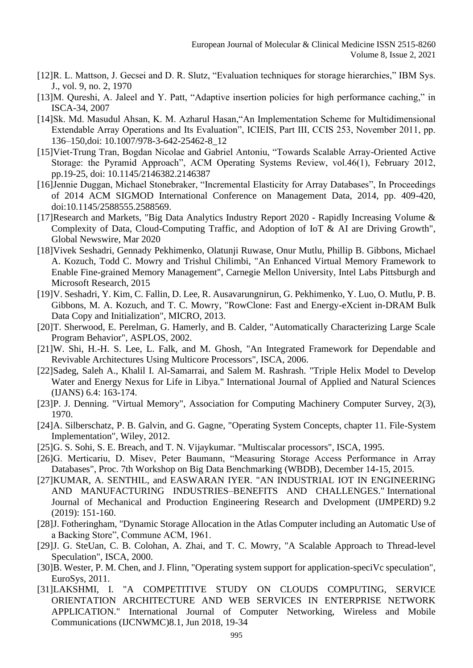- [12]R. L. Mattson, J. Gecsei and D. R. Slutz, "Evaluation techniques for storage hierarchies," IBM Sys. J., vol. 9, no. 2, 1970
- [13]M. Qureshi, A. Jaleel and Y. Patt, "Adaptive insertion policies for high performance caching," in ISCA-34, 2007
- [14]Sk. Md. Masudul Ahsan, K. M. Azharul Hasan,"An Implementation Scheme for Multidimensional Extendable Array Operations and Its Evaluation", ICIEIS, Part III, CCIS 253, November 2011, pp. 136–150,doi: 10.1007/978-3-642-25462-8\_12
- [15]Viet-Trung Tran, Bogdan Nicolae and Gabriel Antoniu, "Towards Scalable Array-Oriented Active Storage: the Pyramid Approach", ACM Operating Systems Review, vol.46(1), February 2012, pp.19-25, doi: 10.1145/2146382.2146387
- [16]Jennie Duggan, Michael Stonebraker, "Incremental Elasticity for Array Databases", In Proceedings of 2014 ACM SIGMOD International Conference on Management Data, 2014, pp. 409-420, doi:10.1145/2588555.2588569.
- [17]Research and Markets, "Big Data Analytics Industry Report 2020 Rapidly Increasing Volume & Complexity of Data, Cloud-Computing Traffic, and Adoption of IoT & AI are Driving Growth", Global Newswire, Mar 2020
- [18]Vivek Seshadri, Gennady Pekhimenko, Olatunji Ruwase, Onur Mutlu, Phillip B. Gibbons, Michael A. Kozuch, Todd C. Mowry and Trishul Chilimbi, "An Enhanced Virtual Memory Framework to Enable Fine-grained Memory Management", Carnegie Mellon University, Intel Labs Pittsburgh and Microsoft Research, 2015
- [19]V. Seshadri, Y. Kim, C. Fallin, D. Lee, R. Ausavarungnirun, G. Pekhimenko, Y. Luo, O. Mutlu, P. B. Gibbons, M. A. Kozuch, and T. C. Mowry, "RowClone: Fast and Energy-eXcient in-DRAM Bulk Data Copy and Initialization", MICRO, 2013.
- [20]T. Sherwood, E. Perelman, G. Hamerly, and B. Calder, "Automatically Characterizing Large Scale Program Behavior", ASPLOS, 2002.
- [21]W. Shi, H.-H. S. Lee, L. Falk, and M. Ghosh, "An Integrated Framework for Dependable and Revivable Architectures Using Multicore Processors", ISCA, 2006.
- [22]Sadeg, Saleh A., Khalil I. Al-Samarrai, and Salem M. Rashrash. "Triple Helix Model to Develop Water and Energy Nexus for Life in Libya." International Journal of Applied and Natural Sciences (IJANS) 6.4: 163-174.
- [23]P. J. Denning. "Virtual Memory", Association for Computing Machinery Computer Survey, 2(3), 1970.
- [24]A. Silberschatz, P. B. Galvin, and G. Gagne, "Operating System Concepts, chapter 11. File-System Implementation", Wiley, 2012.
- [25]G. S. Sohi, S. E. Breach, and T. N. Vijaykumar. "Multiscalar processors", ISCA, 1995.
- [26]G. Merticariu, D. Misev, Peter Baumann, "Measuring Storage Access Performance in Array Databases", Proc. 7th Workshop on Big Data Benchmarking (WBDB), December 14-15, 2015.
- [27]KUMAR, A. SENTHIL, and EASWARAN IYER. "AN INDUSTRIAL IOT IN ENGINEERING AND MANUFACTURING INDUSTRIES–BENEFITS AND CHALLENGES." International Journal of Mechanical and Production Engineering Research and Dvelopment (IJMPERD) 9.2 (2019): 151-160.
- [28]J. Fotheringham, "Dynamic Storage Allocation in the Atlas Computer including an Automatic Use of a Backing Store", Commune ACM, 1961.
- [29]J. G. SteUan, C. B. Colohan, A. Zhai, and T. C. Mowry, "A Scalable Approach to Thread-level Speculation", ISCA, 2000.
- [30]B. Wester, P. M. Chen, and J. Flinn, "Operating system support for application-speciVc speculation", EuroSys, 2011.
- [31]LAKSHMI, I. "A COMPETITIVE STUDY ON CLOUDS COMPUTING, SERVICE ORIENTATION ARCHITECTURE AND WEB SERVICES IN ENTERPRISE NETWORK APPLICATION." International Journal of Computer Networking, Wireless and Mobile Communications (IJCNWMC)8.1, Jun 2018, 19-34